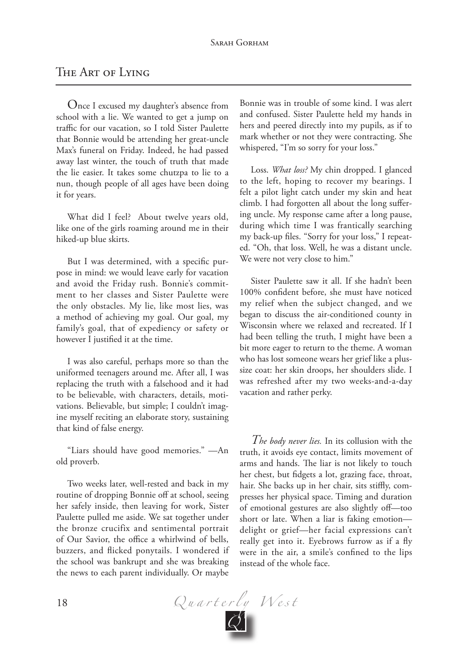# The Art of Lying

Once I excused my daughter's absence from school with a lie. We wanted to get a jump on traffic for our vacation, so I told Sister Paulette that Bonnie would be attending her great-uncle Max's funeral on Friday. Indeed, he had passed away last winter, the touch of truth that made the lie easier. It takes some chutzpa to lie to a nun, though people of all ages have been doing it for years.

What did I feel? About twelve years old, like one of the girls roaming around me in their hiked-up blue skirts.

But I was determined, with a specific purpose in mind: we would leave early for vacation and avoid the Friday rush. Bonnie's commitment to her classes and Sister Paulette were the only obstacles. My lie, like most lies, was a method of achieving my goal. Our goal, my family's goal, that of expediency or safety or however I justified it at the time.

I was also careful, perhaps more so than the uniformed teenagers around me. After all, I was replacing the truth with a falsehood and it had to be believable, with characters, details, motivations. Believable, but simple; I couldn't imagine myself reciting an elaborate story, sustaining that kind of false energy.

"Liars should have good memories." —An old proverb.

Two weeks later, well-rested and back in my routine of dropping Bonnie off at school, seeing her safely inside, then leaving for work, Sister Paulette pulled me aside. We sat together under the bronze crucifix and sentimental portrait of Our Savior, the office a whirlwind of bells, buzzers, and flicked ponytails. I wondered if the school was bankrupt and she was breaking the news to each parent individually. Or maybe

Bonnie was in trouble of some kind. I was alert and confused. Sister Paulette held my hands in hers and peered directly into my pupils, as if to mark whether or not they were contracting. She whispered, "I'm so sorry for your loss."

Loss. *What loss?* My chin dropped. I glanced to the left, hoping to recover my bearings. I felt a pilot light catch under my skin and heat climb. I had forgotten all about the long suffering uncle. My response came after a long pause, during which time I was frantically searching my back-up files. "Sorry for your loss," I repeated. "Oh, that loss. Well, he was a distant uncle. We were not very close to him."

Sister Paulette saw it all. If she hadn't been 100% confident before, she must have noticed my relief when the subject changed, and we began to discuss the air-conditioned county in Wisconsin where we relaxed and recreated. If I had been telling the truth, I might have been a bit more eager to return to the theme. A woman who has lost someone wears her grief like a plussize coat: her skin droops, her shoulders slide. I was refreshed after my two weeks-and-a-day vacation and rather perky.

*The body never lies.* In its collusion with the truth, it avoids eye contact, limits movement of arms and hands. The liar is not likely to touch her chest, but fidgets a lot, grazing face, throat, hair. She backs up in her chair, sits stiffly, compresses her physical space. Timing and duration of emotional gestures are also slightly off—too short or late. When a liar is faking emotion delight or grief—her facial expressions can't really get into it. Eyebrows furrow as if a fly were in the air, a smile's confined to the lips instead of the whole face.

 $Q'$ 18 Quarterly West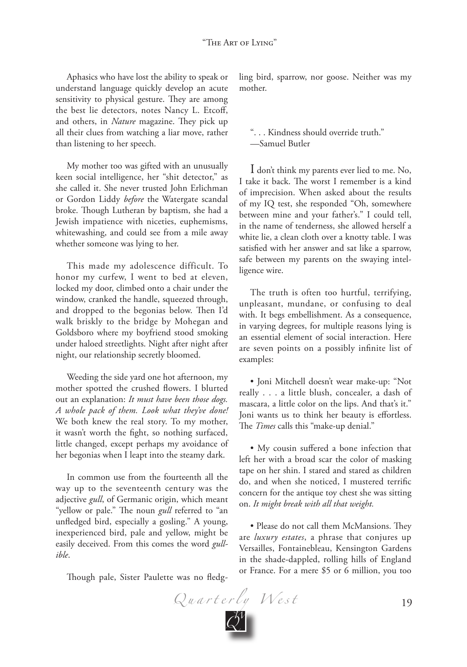Aphasics who have lost the ability to speak or understand language quickly develop an acute sensitivity to physical gesture. They are among the best lie detectors, notes Nancy L. Etcoff, and others, in *Nature* magazine. They pick up all their clues from watching a liar move, rather than listening to her speech.

My mother too was gifted with an unusually keen social intelligence, her "shit detector," as she called it. She never trusted John Erlichman or Gordon Liddy *before* the Watergate scandal broke. Though Lutheran by baptism, she had a Jewish impatience with niceties, euphemisms, whitewashing, and could see from a mile away whether someone was lying to her.

This made my adolescence difficult. To honor my curfew, I went to bed at eleven, locked my door, climbed onto a chair under the window, cranked the handle, squeezed through, and dropped to the begonias below. Then I'd walk briskly to the bridge by Mohegan and Goldsboro where my boyfriend stood smoking under haloed streetlights. Night after night after night, our relationship secretly bloomed.

Weeding the side yard one hot afternoon, my mother spotted the crushed flowers. I blurted out an explanation: *It must have been those dogs. A whole pack of them. Look what they've done!*  We both knew the real story. To my mother, it wasn't worth the fight, so nothing surfaced, little changed, except perhaps my avoidance of her begonias when I leapt into the steamy dark.

In common use from the fourteenth all the way up to the seventeenth century was the adjective *gull*, of Germanic origin, which meant "yellow or pale." The noun *gull* referred to "an unfledged bird, especially a gosling." A young, inexperienced bird, pale and yellow, might be easily deceived. From this comes the word *gullible*.

Though pale, Sister Paulette was no fledg-

ling bird, sparrow, nor goose. Neither was my mother.

". . . Kindness should override truth." —Samuel Butler

I don't think my parents ever lied to me. No, I take it back. The worst I remember is a kind of imprecision. When asked about the results of my IQ test, she responded "Oh, somewhere between mine and your father's." I could tell, in the name of tenderness, she allowed herself a white lie, a clean cloth over a knotty table. I was satisfied with her answer and sat like a sparrow, safe between my parents on the swaying intelligence wire.

The truth is often too hurtful, terrifying, unpleasant, mundane, or confusing to deal with. It begs embellishment. As a consequence, in varying degrees, for multiple reasons lying is an essential element of social interaction. Here are seven points on a possibly infinite list of examples:

• Joni Mitchell doesn't wear make-up: "Not really . . . a little blush, concealer, a dash of mascara, a little color on the lips. And that's it." Joni wants us to think her beauty is effortless. The *Times* calls this "make-up denial."

• My cousin suffered a bone infection that left her with a broad scar the color of masking tape on her shin. I stared and stared as children do, and when she noticed, I mustered terrific concern for the antique toy chest she was sitting on. *It might break with all that weight.*

• Please do not call them McMansions. They are *luxury estates*, a phrase that conjures up Versailles, Fontainebleau, Kensington Gardens in the shade-dappled, rolling hills of England or France. For a mere \$5 or 6 million, you too

*W Q u a r t e r l y W e s t* 19

 $\overline{\mathcal{P}}$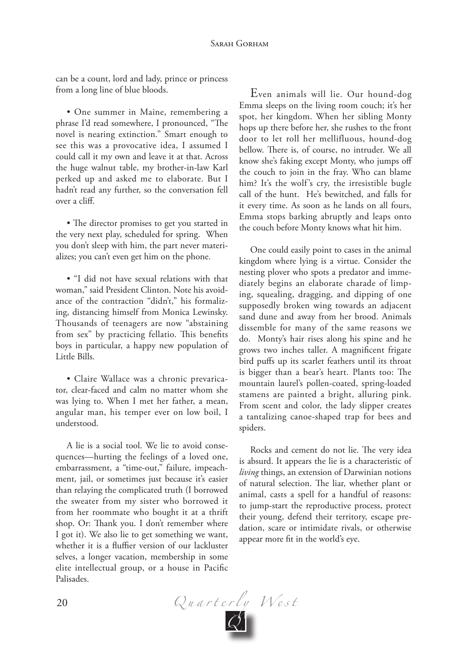can be a count, lord and lady, prince or princess from a long line of blue bloods.

• One summer in Maine, remembering a phrase I'd read somewhere, I pronounced, "The novel is nearing extinction." Smart enough to see this was a provocative idea, I assumed I could call it my own and leave it at that. Across the huge walnut table, my brother-in-law Karl perked up and asked me to elaborate. But I hadn't read any further, so the conversation fell over a cliff.

• The director promises to get you started in the very next play, scheduled for spring. When you don't sleep with him, the part never materializes; you can't even get him on the phone.

• "I did not have sexual relations with that woman," said President Clinton. Note his avoidance of the contraction "didn't," his formalizing, distancing himself from Monica Lewinsky. Thousands of teenagers are now "abstaining from sex" by practicing fellatio. This benefits boys in particular, a happy new population of Little Bills.

• Claire Wallace was a chronic prevaricator, clear-faced and calm no matter whom she was lying to. When I met her father, a mean, angular man, his temper ever on low boil, I understood.

A lie is a social tool. We lie to avoid consequences—hurting the feelings of a loved one, embarrassment, a "time-out," failure, impeachment, jail, or sometimes just because it's easier than relaying the complicated truth (I borrowed the sweater from my sister who borrowed it from her roommate who bought it at a thrift shop. Or: Thank you. I don't remember where I got it). We also lie to get something we want, whether it is a fluffier version of our lackluster selves, a longer vacation, membership in some elite intellectual group, or a house in Pacific Palisades.

Even animals will lie. Our hound-dog Emma sleeps on the living room couch; it's her spot, her kingdom. When her sibling Monty hops up there before her, she rushes to the front door to let roll her mellifluous, hound-dog bellow. There is, of course, no intruder. We all know she's faking except Monty, who jumps off the couch to join in the fray. Who can blame him? It's the wolf's cry, the irresistible bugle call of the hunt. He's bewitched, and falls for it every time. As soon as he lands on all fours, Emma stops barking abruptly and leaps onto the couch before Monty knows what hit him.

One could easily point to cases in the animal kingdom where lying is a virtue. Consider the nesting plover who spots a predator and immediately begins an elaborate charade of limping, squealing, dragging, and dipping of one supposedly broken wing towards an adjacent sand dune and away from her brood. Animals dissemble for many of the same reasons we do. Monty's hair rises along his spine and he grows two inches taller. A magnificent frigate bird puffs up its scarlet feathers until its throat is bigger than a bear's heart. Plants too: The mountain laurel's pollen-coated, spring-loaded stamens are painted a bright, alluring pink. From scent and color, the lady slipper creates a tantalizing canoe-shaped trap for bees and spiders.

Rocks and cement do not lie. The very idea is absurd. It appears the lie is a characteristic of *living* things, an extension of Darwinian notions of natural selection. The liar, whether plant or animal, casts a spell for a handful of reasons: to jump-start the reproductive process, protect their young, defend their territory, escape predation, scare or intimidate rivals, or otherwise appear more fit in the world's eye.

 $Q'$ 20 *Q u a r t e r l y W e s t*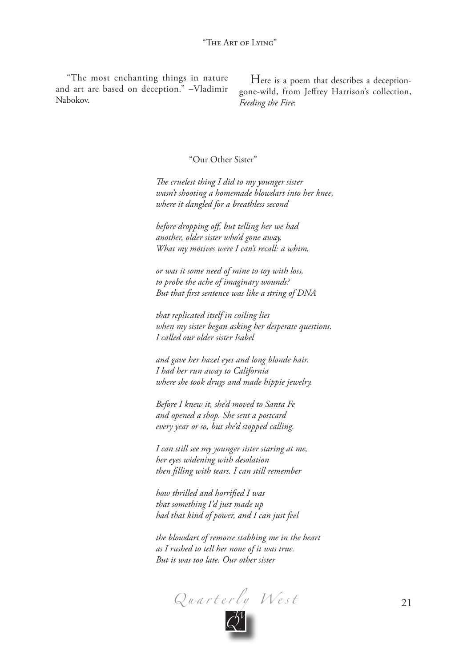"The most enchanting things in nature and art are based on deception." –Vladimir Nabokov.

Here is a poem that describes a deceptiongone-wild, from Jeffrey Harrison's collection, *Feeding the Fire*:

#### "Our Other Sister"

 *The cruelest thing I did to my younger sister wasn't shooting a homemade blowdart into her knee, where it dangled for a breathless second*

 *before dropping off, but telling her we had another, older sister who'd gone away. What my motives were I can't recall: a whim,*

 *or was it some need of mine to toy with loss, to probe the ache of imaginary wounds? But that first sentence was like a string of DNA*

 *that replicated itself in coiling lies when my sister began asking her desperate questions. I called our older sister Isabel*

 *and gave her hazel eyes and long blonde hair. I had her run away to California where she took drugs and made hippie jewelry.*

 *Before I knew it, she'd moved to Santa Fe and opened a shop. She sent a postcard every year or so, but she'd stopped calling.*

 *I can still see my younger sister staring at me, her eyes widening with desolation then filling with tears. I can still remember*

 *how thrilled and horrified I was that something I'd just made up had that kind of power, and I can just feel*

 *the blowdart of remorse stabbing me in the heart as I rushed to tell her none of it was true. But it was too late. Our other sister*

*Q u a r t e r l y W e s t* 21

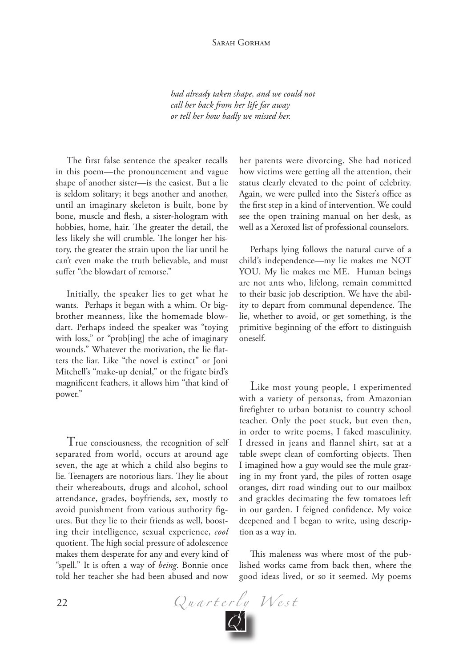## Sarah Gorham

 *had already taken shape, and we could not call her back from her life far away or tell her how badly we missed her.*

The first false sentence the speaker recalls in this poem—the pronouncement and vague shape of another sister—is the easiest. But a lie is seldom solitary; it begs another and another, until an imaginary skeleton is built, bone by bone, muscle and flesh, a sister-hologram with hobbies, home, hair. The greater the detail, the less likely she will crumble. The longer her history, the greater the strain upon the liar until he can't even make the truth believable, and must suffer "the blowdart of remorse."

Initially, the speaker lies to get what he wants. Perhaps it began with a whim. Or bigbrother meanness, like the homemade blowdart. Perhaps indeed the speaker was "toying with loss," or "prob[ing] the ache of imaginary wounds." Whatever the motivation, the lie flatters the liar. Like "the novel is extinct" or Joni Mitchell's "make-up denial," or the frigate bird's magnificent feathers, it allows him "that kind of power."

True consciousness, the recognition of self separated from world, occurs at around age seven, the age at which a child also begins to lie. Teenagers are notorious liars. They lie about their whereabouts, drugs and alcohol, school attendance, grades, boyfriends, sex, mostly to avoid punishment from various authority figures. But they lie to their friends as well, boosting their intelligence, sexual experience, *cool* quotient. The high social pressure of adolescence makes them desperate for any and every kind of "spell." It is often a way of *being*. Bonnie once told her teacher she had been abused and now

her parents were divorcing. She had noticed how victims were getting all the attention, their status clearly elevated to the point of celebrity. Again, we were pulled into the Sister's office as the first step in a kind of intervention. We could see the open training manual on her desk, as well as a Xeroxed list of professional counselors.

Perhaps lying follows the natural curve of a child's independence—my lie makes me NOT YOU. My lie makes me ME. Human beings are not ants who, lifelong, remain committed to their basic job description. We have the ability to depart from communal dependence. The lie, whether to avoid, or get something, is the primitive beginning of the effort to distinguish oneself.

Like most young people, I experimented with a variety of personas, from Amazonian firefighter to urban botanist to country school teacher. Only the poet stuck, but even then, in order to write poems, I faked masculinity. I dressed in jeans and flannel shirt, sat at a table swept clean of comforting objects. Then I imagined how a guy would see the mule grazing in my front yard, the piles of rotten osage oranges, dirt road winding out to our mailbox and grackles decimating the few tomatoes left in our garden. I feigned confidence. My voice deepened and I began to write, using description as a way in.

This maleness was where most of the published works came from back then, where the good ideas lived, or so it seemed. My poems

 $Q'$ 22 *Q u a r t e r l y W e s t*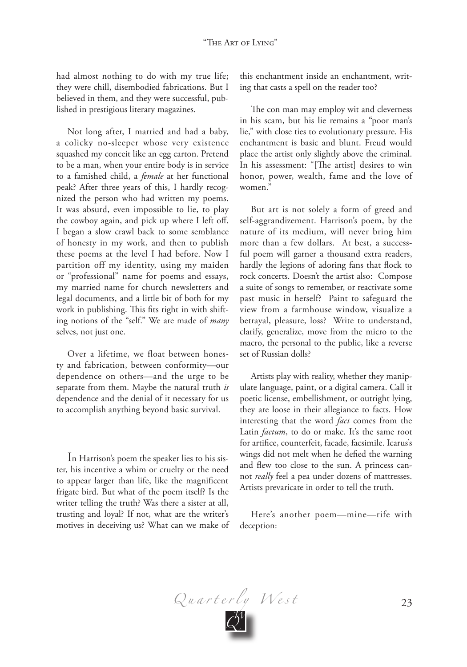had almost nothing to do with my true life; they were chill, disembodied fabrications. But I believed in them, and they were successful, published in prestigious literary magazines.

Not long after, I married and had a baby, a colicky no-sleeper whose very existence squashed my conceit like an egg carton. Pretend to be a man, when your entire body is in service to a famished child, a *female* at her functional peak? After three years of this, I hardly recognized the person who had written my poems. It was absurd, even impossible to lie, to play the cowboy again, and pick up where I left off. I began a slow crawl back to some semblance of honesty in my work, and then to publish these poems at the level I had before. Now I partition off my identity, using my maiden or "professional" name for poems and essays, my married name for church newsletters and legal documents, and a little bit of both for my work in publishing. This fits right in with shifting notions of the "self." We are made of *many* selves, not just one.

Over a lifetime, we float between honesty and fabrication, between conformity—our dependence on others—and the urge to be separate from them. Maybe the natural truth *is* dependence and the denial of it necessary for us to accomplish anything beyond basic survival.

In Harrison's poem the speaker lies to his sister, his incentive a whim or cruelty or the need to appear larger than life, like the magnificent frigate bird. But what of the poem itself? Is the writer telling the truth? Was there a sister at all, trusting and loyal? If not, what are the writer's motives in deceiving us? What can we make of this enchantment inside an enchantment, writing that casts a spell on the reader too?

The con man may employ wit and cleverness in his scam, but his lie remains a "poor man's lie," with close ties to evolutionary pressure. His enchantment is basic and blunt. Freud would place the artist only slightly above the criminal. In his assessment: "[The artist] desires to win honor, power, wealth, fame and the love of women."

But art is not solely a form of greed and self-aggrandizement. Harrison's poem, by the nature of its medium, will never bring him more than a few dollars. At best, a successful poem will garner a thousand extra readers, hardly the legions of adoring fans that flock to rock concerts. Doesn't the artist also: Compose a suite of songs to remember, or reactivate some past music in herself? Paint to safeguard the view from a farmhouse window, visualize a betrayal, pleasure, loss? Write to understand, clarify, generalize, move from the micro to the macro, the personal to the public, like a reverse set of Russian dolls?

Artists play with reality, whether they manipulate language, paint, or a digital camera. Call it poetic license, embellishment, or outright lying, they are loose in their allegiance to facts. How interesting that the word *fact* comes from the Latin *factum*, to do or make. It's the same root for artifice, counterfeit, facade, facsimile. Icarus's wings did not melt when he defied the warning and flew too close to the sun. A princess cannot *really* feel a pea under dozens of mattresses. Artists prevaricate in order to tell the truth.

Here's another poem—mine—rife with deception:

*Q u a r t e r l y W e s t* 23

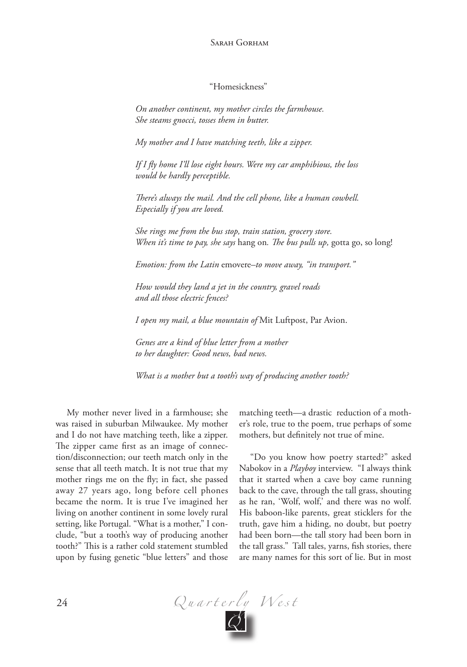### Sarah Gorham

#### "Homesickness"

*On another continent, my mother circles the farmhouse. She steams gnocci, tosses them in butter.*

*My mother and I have matching teeth, like a zipper.*

*If I fly home I'll lose eight hours. Were my car amphibious, the loss would be hardly perceptible.*

*There's always the mail. And the cell phone, like a human cowbell. Especially if you are loved.*

*She rings me from the bus stop, train station, grocery store. When it's time to pay, she says* hang on*. The bus pulls up,* gotta go, so long!

*Emotion: from the Latin* emovere*–to move away, "in transport."*

*How would they land a jet in the country, gravel roads and all those electric fences?*

*I open my mail, a blue mountain of* Mit Luftpost, Par Avion.

*Genes are a kind of blue letter from a mother to her daughter: Good news, bad news.*

*What is a mother but a tooth's way of producing another tooth?*

My mother never lived in a farmhouse; she was raised in suburban Milwaukee. My mother and I do not have matching teeth, like a zipper. The zipper came first as an image of connection/disconnection; our teeth match only in the sense that all teeth match. It is not true that my mother rings me on the fly; in fact, she passed away 27 years ago, long before cell phones became the norm. It is true I've imagined her living on another continent in some lovely rural setting, like Portugal. "What is a mother," I conclude, "but a tooth's way of producing another tooth?" This is a rather cold statement stumbled upon by fusing genetic "blue letters" and those

matching teeth—a drastic reduction of a mother's role, true to the poem, true perhaps of some mothers, but definitely not true of mine.

"Do you know how poetry started?" asked Nabokov in a *Playboy* interview. "I always think that it started when a cave boy came running back to the cave, through the tall grass, shouting as he ran, 'Wolf, wolf,' and there was no wolf. His baboon-like parents, great sticklers for the truth, gave him a hiding, no doubt, but poetry had been born—the tall story had been born in the tall grass." Tall tales, yarns, fish stories, there are many names for this sort of lie. But in most

 $Q'$ 24 *Q u a r t e r l y W e s t*